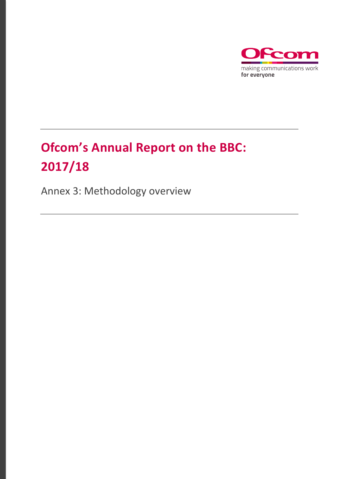

# **Ofcom's Annual Report on the BBC: 2017/18**

Annex 3: Methodology overview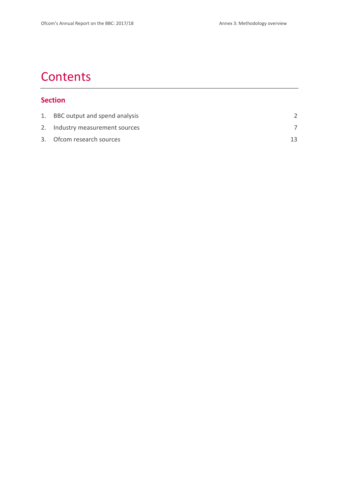# **Contents**

## **Section**

| 1. BBC output and spend analysis |  |
|----------------------------------|--|
| 2. Industry measurement sources  |  |
| 3. Of com research sources       |  |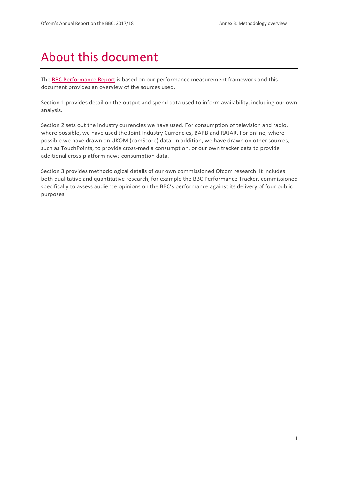# About this document

The [BBC Performance Report](https://www.ofcom.org.uk/__data/assets/pdf_file/0013/124420/BBC-annex-2-performance.pdf) is based on our performance measurement framework and this document provides an overview of the sources used.

Section 1 provides detail on the output and spend data used to inform availability, including our own analysis.

Section 2 sets out the industry currencies we have used. For consumption of television and radio, where possible, we have used the Joint Industry Currencies, BARB and RAJAR. For online, where possible we have drawn on UKOM (comScore) data. In addition, we have drawn on other sources, such as TouchPoints, to provide cross-media consumption, or our own tracker data to provide additional cross-platform news consumption data.

Section 3 provides methodological details of our own commissioned Ofcom research. It includes both qualitative and quantitative research, for example the BBC Performance Tracker, commissioned specifically to assess audience opinions on the BBC's performance against its delivery of four public purposes.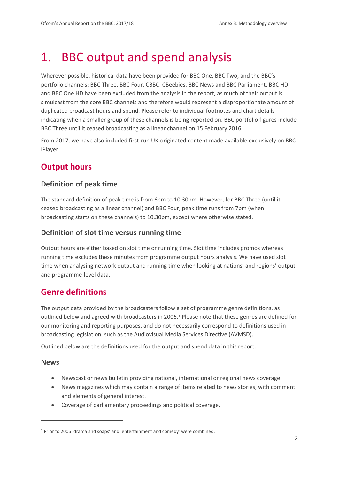# <span id="page-3-0"></span>1. BBC output and spend analysis

Wherever possible, historical data have been provided for BBC One, BBC Two, and the BBC's portfolio channels: BBC Three, BBC Four, CBBC, CBeebies, BBC News and BBC Parliament. BBC HD and BBC One HD have been excluded from the analysis in the report, as much of their output is simulcast from the core BBC channels and therefore would represent a disproportionate amount of duplicated broadcast hours and spend. Please refer to individual footnotes and chart details indicating when a smaller group of these channels is being reported on. BBC portfolio figures include BBC Three until it ceased broadcasting as a linear channel on 15 February 2016.

From 2017, we have also included first-run UK-originated content made available exclusively on BBC iPlayer.

# **Output hours**

## **Definition of peak time**

The standard definition of peak time is from 6pm to 10.30pm. However, for BBC Three (until it ceased broadcasting as a linear channel) and BBC Four, peak time runs from 7pm (when broadcasting starts on these channels) to 10.30pm, except where otherwise stated.

## **Definition of slot time versus running time**

Output hours are either based on slot time or running time. Slot time includes promos whereas running time excludes these minutes from programme output hours analysis. We have used slot time when analysing network output and running time when looking at nations' and regions' output and programme-level data.

# **Genre definitions**

The output data provided by the broadcasters follow a set of programme genre definitions, as outlined below and agreed with broadcasters in 2006.<sup>[1](#page-3-1)</sup> Please note that these genres are defined for our monitoring and reporting purposes, and do not necessarily correspond to definitions used in broadcasting legislation, such as the Audiovisual Media Services Directive (AVMSD).

Outlined below are the definitions used for the output and spend data in this report:

#### **News**

<u>.</u>

- Newscast or news bulletin providing national, international or regional news coverage.
- News magazines which may contain a range of items related to news stories, with comment and elements of general interest.
- Coverage of parliamentary proceedings and political coverage.

<span id="page-3-1"></span><sup>1</sup> Prior to 2006 'drama and soaps' and 'entertainment and comedy' were combined.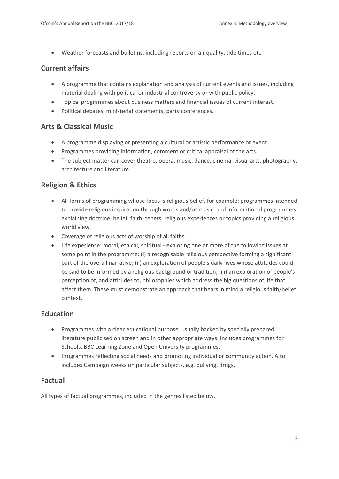• Weather forecasts and bulletins, including reports on air quality, tide times etc.

## **Current affairs**

- A programme that contains explanation and analysis of current events and issues, including material dealing with political or industrial controversy or with public policy.
- Topical programmes about business matters and financial issues of current interest.
- Political debates, ministerial statements, party conferences.

## **Arts & Classical Music**

- A programme displaying or presenting a cultural or artistic performance or event.
- Programmes providing information, comment or critical appraisal of the arts.
- The subject matter can cover theatre, opera, music, dance, cinema, visual arts, photography, architecture and literature.

## **Religion & Ethics**

- All forms of programming whose focus is religious belief, for example: programmes intended to provide religious inspiration through words and/or music, and informational programmes explaining doctrine, belief, faith, tenets, religious experiences or topics providing a religious world view.
- Coverage of religious acts of worship of all faiths.
- Life experience: moral, ethical, spiritual exploring one or more of the following issues at some point in the programme: (i) a recognisable religious perspective forming a significant part of the overall narrative; (ii) an exploration of people's daily lives whose attitudes could be said to be informed by a religious background or tradition; (iii) an exploration of people's perception of, and attitudes to, philosophies which address the big questions of life that affect them. These must demonstrate an approach that bears in mind a religious faith/belief context.

## **Education**

- Programmes with a clear educational purpose, usually backed by specially prepared literature publicised on screen and in other appropriate ways. Includes programmes for Schools, BBC Learning Zone and Open University programmes.
- Programmes reflecting social needs and promoting individual or community action. Also includes Campaign weeks on particular subjects, e.g. bullying, drugs.

## **Factual**

All types of factual programmes, included in the genres listed below.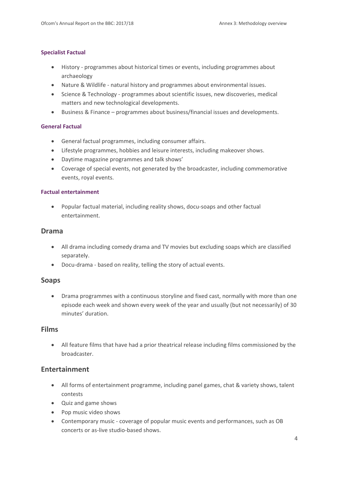#### **Specialist Factual**

- History programmes about historical times or events, including programmes about archaeology
- Nature & Wildlife natural history and programmes about environmental issues.
- Science & Technology programmes about scientific issues, new discoveries, medical matters and new technological developments.
- Business & Finance programmes about business/financial issues and developments.

#### **General Factual**

- General factual programmes, including consumer affairs.
- Lifestyle programmes, hobbies and leisure interests, including makeover shows.
- Daytime magazine programmes and talk shows'
- Coverage of special events, not generated by the broadcaster, including commemorative events, royal events.

#### **Factual entertainment**

• Popular factual material, including reality shows, docu-soaps and other factual entertainment.

#### **Drama**

- All drama including comedy drama and TV movies but excluding soaps which are classified separately.
- Docu-drama based on reality, telling the story of actual events.

#### **Soaps**

• Drama programmes with a continuous storyline and fixed cast, normally with more than one episode each week and shown every week of the year and usually (but not necessarily) of 30 minutes' duration.

#### **Films**

• All feature films that have had a prior theatrical release including films commissioned by the broadcaster.

### **Entertainment**

- All forms of entertainment programme, including panel games, chat & variety shows, talent contests
- Quiz and game shows
- Pop music video shows
- Contemporary music coverage of popular music events and performances, such as OB concerts or as-live studio-based shows.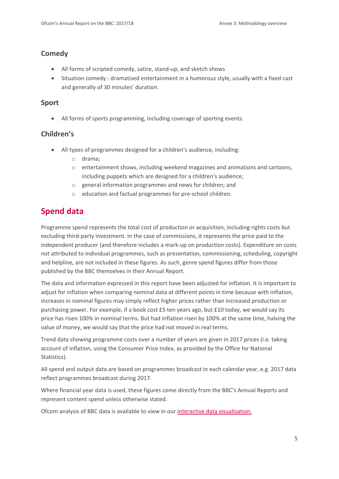## **Comedy**

- All forms of scripted comedy, satire, stand-up, and sketch shows
- Situation comedy dramatised entertainment in a humorous style, usually with a fixed cast and generally of 30 minutes' duration.

### **Sport**

• All forms of sports programming, including coverage of sporting events.

## **Children's**

- All types of programmes designed for a children's audience, including:
	- o drama;
	- o entertainment shows, including weekend magazines and animations and cartoons, including puppets which are designed for a children's audience;
	- o general information programmes and news for children; and
	- o education and factual programmes for pre-school children.

# **Spend data**

Programme spend represents the total cost of production or acquisition, including rights costs but excluding third-party investment. In the case of commissions, it represents the price paid to the independent producer (and therefore includes a mark-up on production costs). Expenditure on costs not attributed to individual programmes, such as presentation, commissioning, scheduling, copyright and helpline, are not included in these figures. As such, genre spend figures differ from those published by the BBC themselves in their Annual Report.

The data and information expressed in this report have been adjusted for inflation. It is important to adjust for inflation when comparing nominal data at different points in time because with inflation, increases in nominal figures may simply reflect higher prices rather than increased production or purchasing power. For example, if a book cost £5 ten years ago, but £10 today, we would say its price has risen 100% in nominal terms. But had inflation risen by 100% at the same time, halving the value of money, we would say that the price had not moved in real terms.

Trend data showing programme costs over a number of years are given in 2017 prices (i.e. taking account of inflation, using the Consumer Price Index, as provided by the Office for National Statistics).

All spend and output data are based on programmes broadcast in each calendar year, e.g. 2017 data reflect programmes broadcast during 2017.

Where financial year data is used, these figures come directly from the BBC's Annual Reports and represent content spend unless otherwise stated.

Ofcom analysis of BBC data is available to view in ou[r interactive data visualisation.](https://www.ofcom.org.uk/tv-radio-and-on-demand/information-for-industry/bbc-operating-framework/performance/bbc-annual-report/bbc-annual-report-interactive-data)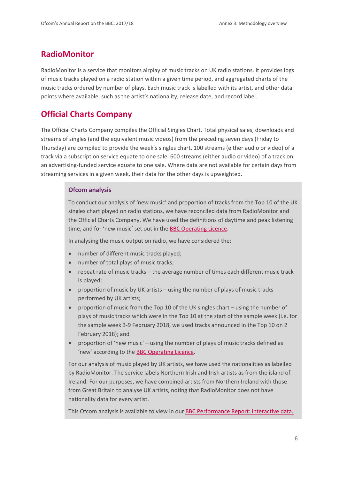## **RadioMonitor**

RadioMonitor is a service that monitors airplay of music tracks on UK radio stations. It provides logs of music tracks played on a radio station within a given time period, and aggregated charts of the music tracks ordered by number of plays. Each music track is labelled with its artist, and other data points where available, such as the artist's nationality, release date, and record label.

## **Official Charts Company**

The Official Charts Company compiles the Official Singles Chart. Total physical sales, downloads and streams of singles (and the equivalent music videos) from the preceding seven days (Friday to Thursday) are compiled to provide the week's singles chart. 100 streams (either audio or video) of a track via a subscription service equate to one sale. 600 streams (either audio or video) of a track on an advertising-funded service equate to one sale. Where data are not available for certain days from streaming services in a given week, their data for the other days is upweighted.

#### **Ofcom analysis**

To conduct our analysis of 'new music' and proportion of tracks from the Top 10 of the UK singles chart played on radio stations, we have reconciled data from RadioMonitor and the Official Charts Company. We have used the definitions of daytime and peak listening time, and for 'new music' set out in the [BBC Operating Licence.](https://www.ofcom.org.uk/__data/assets/pdf_file/0017/107072/bbc-operating-licence.pdf)

In analysing the music output on radio, we have considered the:

- number of different music tracks played;
- number of total plays of music tracks;
- repeat rate of music tracks the average number of times each different music track is played;
- proportion of music by UK artists using the number of plays of music tracks performed by UK artists;
- proportion of music from the Top 10 of the UK singles chart using the number of plays of music tracks which were in the Top 10 at the start of the sample week (i.e. for the sample week 3-9 February 2018, we used tracks announced in the Top 10 on 2 February 2018); and
- proportion of 'new music' using the number of plays of music tracks defined as 'new' according to the [BBC Operating Licence.](https://www.ofcom.org.uk/__data/assets/pdf_file/0017/107072/bbc-operating-licence.pdf)

For our analysis of music played by UK artists, we have used the nationalities as labelled by RadioMonitor. The service labels Northern Irish and Irish artists as from the island of Ireland. For our purposes, we have combined artists from Northern Ireland with those from Great Britain to analyse UK artists, noting that RadioMonitor does not have nationality data for every artist.

This Ofcom analysis is available to view in our [BBC Performance Report: interactive data.](https://www.ofcom.org.uk/tv-radio-and-on-demand/information-for-industry/bbc-operating-framework/performance/bbc-annual-report/bbc-annual-report-interactive-data)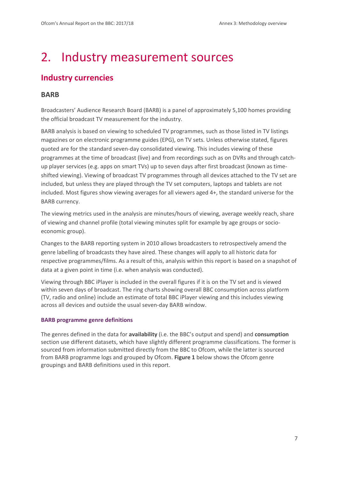# <span id="page-8-0"></span>2. Industry measurement sources

# **Industry currencies**

#### **BARB**

Broadcasters' Audience Research Board (BARB) is a panel of approximately 5,100 homes providing the official broadcast TV measurement for the industry.

BARB analysis is based on viewing to scheduled TV programmes, such as those listed in TV listings magazines or on electronic programme guides (EPG), on TV sets. Unless otherwise stated, figures quoted are for the standard seven-day consolidated viewing. This includes viewing of these programmes at the time of broadcast (live) and from recordings such as on DVRs and through catchup player services (e.g. apps on smart TVs) up to seven days after first broadcast (known as timeshifted viewing). Viewing of broadcast TV programmes through all devices attached to the TV set are included, but unless they are played through the TV set computers, laptops and tablets are not included. Most figures show viewing averages for all viewers aged 4+, the standard universe for the BARB currency.

The viewing metrics used in the analysis are minutes/hours of viewing, average weekly reach, share of viewing and channel profile (total viewing minutes split for example by age groups or socioeconomic group).

Changes to the BARB reporting system in 2010 allows broadcasters to retrospectively amend the genre labelling of broadcasts they have aired. These changes will apply to all historic data for respective programmes/films. As a result of this, analysis within this report is based on a snapshot of data at a given point in time (i.e. when analysis was conducted).

Viewing through BBC iPlayer is included in the overall figures if it is on the TV set and is viewed within seven days of broadcast. The ring charts showing overall BBC consumption across platform (TV, radio and online) include an estimate of total BBC iPlayer viewing and this includes viewing across all devices and outside the usual seven-day BARB window.

#### **BARB programme genre definitions**

The genres defined in the data for **availability** (i.e. the BBC's output and spend) and **consumption** section use different datasets, which have slightly different programme classifications. The former is sourced from information submitted directly from the BBC to Ofcom, while the latter is sourced from BARB programme logs and grouped by Ofcom. **[Figure 1](#page-9-0)** below shows the Ofcom genre groupings and BARB definitions used in this report.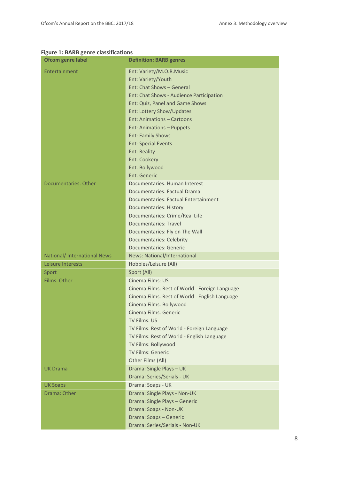### <span id="page-9-0"></span>**Figure 1: BARB genre classifications**

| <b>Ofcom genre label</b>     | <b>Definition: BARB genres</b>                 |
|------------------------------|------------------------------------------------|
| Entertainment                | Ent: Variety/M.O.R.Music                       |
|                              | Ent: Variety/Youth                             |
|                              | Ent: Chat Shows - General                      |
|                              | Ent: Chat Shows - Audience Participation       |
|                              | Ent: Quiz, Panel and Game Shows                |
|                              | Ent: Lottery Show/Updates                      |
|                              | <b>Ent: Animations - Cartoons</b>              |
|                              | Ent: Animations - Puppets                      |
|                              | <b>Ent: Family Shows</b>                       |
|                              | <b>Ent: Special Events</b>                     |
|                              | <b>Ent: Reality</b>                            |
|                              | <b>Ent: Cookery</b>                            |
|                              | Ent: Bollywood                                 |
|                              | <b>Ent: Generic</b>                            |
| Documentaries: Other         | Documentaries: Human Interest                  |
|                              | Documentaries: Factual Drama                   |
|                              | Documentaries: Factual Entertainment           |
|                              | <b>Documentaries: History</b>                  |
|                              | Documentaries: Crime/Real Life                 |
|                              | Documentaries: Travel                          |
|                              | Documentaries: Fly on The Wall                 |
|                              | <b>Documentaries: Celebrity</b>                |
|                              | <b>Documentaries: Generic</b>                  |
| National/ International News | <b>News: National/International</b>            |
| Leisure Interests            | Hobbies/Leisure (All)                          |
| Sport                        | Sport (All)                                    |
| Films: Other                 | Cinema Films: US                               |
|                              | Cinema Films: Rest of World - Foreign Language |
|                              | Cinema Films: Rest of World - English Language |
|                              | Cinema Films: Bollywood                        |
|                              | Cinema Films: Generic                          |
|                              | <b>TV Films: US</b>                            |
|                              | TV Films: Rest of World - Foreign Language     |
|                              | TV Films: Rest of World - English Language     |
|                              | TV Films: Bollywood                            |
|                              | <b>TV Films: Generic</b>                       |
|                              | Other Films (All)                              |
| <b>UK Drama</b>              | Drama: Single Plays - UK                       |
|                              | Drama: Series/Serials - UK                     |
| <b>UK Soaps</b>              | Drama: Soaps - UK                              |
| Drama: Other                 | Drama: Single Plays - Non-UK                   |
|                              | Drama: Single Plays - Generic                  |
|                              | Drama: Soaps - Non-UK                          |
|                              | Drama: Soaps - Generic                         |
|                              | Drama: Series/Serials - Non-UK                 |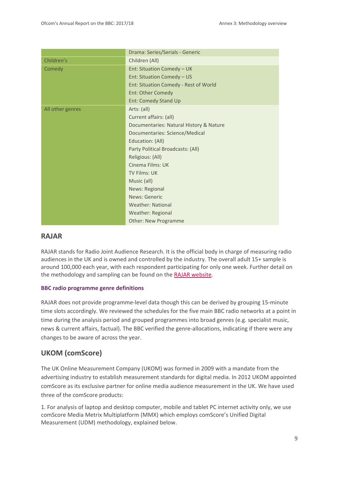|                  | Drama: Series/Serials - Generic         |
|------------------|-----------------------------------------|
| Children's       | Children (All)                          |
| Comedy           | Ent: Situation Comedy - UK              |
|                  | Ent: Situation Comedy - US              |
|                  | Ent: Situation Comedy - Rest of World   |
|                  | Ent: Other Comedy                       |
|                  | Ent: Comedy Stand Up                    |
| All other genres | Arts: (all)                             |
|                  | Current affairs: (all)                  |
|                  | Documentaries: Natural History & Nature |
|                  | Documentaries: Science/Medical          |
|                  | Education: (All)                        |
|                  | Party Political Broadcasts: (All)       |
|                  | Religious: (All)                        |
|                  | Cinema Films: UK                        |
|                  | TV Films: UK                            |
|                  | Music (all)                             |
|                  | <b>News: Regional</b>                   |
|                  | News: Generic                           |
|                  | <b>Weather: National</b>                |
|                  | Weather: Regional                       |
|                  | <b>Other: New Programme</b>             |

#### **RAJAR**

RAJAR stands for Radio Joint Audience Research. It is the official body in charge of measuring radio audiences in the UK and is owned and controlled by the industry. The overall adult 15+ sample is around 100,000 each year, with each respondent participating for only one week. Further detail on the methodology and sampling can be found on the [RAJAR website.](https://www.rajar.co.uk/content.php?page=about_process)

#### **BBC radio programme genre definitions**

RAJAR does not provide programme-level data though this can be derived by grouping 15-minute time slots accordingly. We reviewed the schedules for the five main BBC radio networks at a point in time during the analysis period and grouped programmes into broad genres (e.g. specialist music, news & current affairs, factual). The BBC verified the genre-allocations, indicating if there were any changes to be aware of across the year.

### **UKOM (comScore)**

The UK Online Measurement Company (UKOM) was formed in 2009 with a mandate from the advertising industry to establish measurement standards for digital media. In 2012 UKOM appointed comScore as its exclusive partner for online media audience measurement in the UK. We have used three of the comScore products:

1. For analysis of laptop and desktop computer, mobile and tablet PC internet activity only, we use comScore Media Metrix Multiplatform (MMX) which employs comScore's Unified Digital Measurement (UDM) methodology, explained below.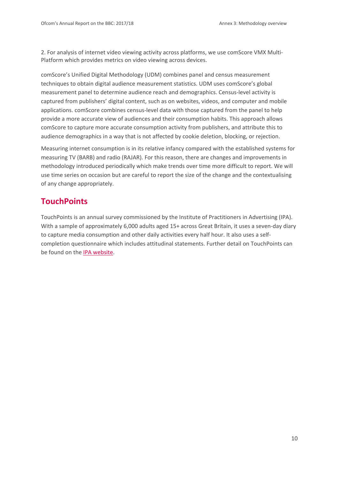2. For analysis of internet video viewing activity across platforms, we use comScore VMX Multi-Platform which provides metrics on video viewing across devices.

comScore's Unified Digital Methodology (UDM) combines panel and census measurement techniques to obtain digital audience measurement statistics. UDM uses comScore's global measurement panel to determine audience reach and demographics. Census-level activity is captured from publishers' digital content, such as on websites, videos, and computer and mobile applications. comScore combines census-level data with those captured from the panel to help provide a more accurate view of audiences and their consumption habits. This approach allows comScore to capture more accurate consumption activity from publishers, and attribute this to audience demographics in a way that is not affected by cookie deletion, blocking, or rejection.

Measuring internet consumption is in its relative infancy compared with the established systems for measuring TV (BARB) and radio (RAJAR). For this reason, there are changes and improvements in methodology introduced periodically which make trends over time more difficult to report. We will use time series on occasion but are careful to report the size of the change and the contextualising of any change appropriately.

## **TouchPoints**

TouchPoints is an annual survey commissioned by the Institute of Practitioners in Advertising (IPA). With a sample of approximately 6,000 adults aged 15+ across Great Britain, it uses a seven-day diary to capture media consumption and other daily activities every half hour. It also uses a selfcompletion questionnaire which includes attitudinal statements. Further detail on TouchPoints can be found on the IPA website.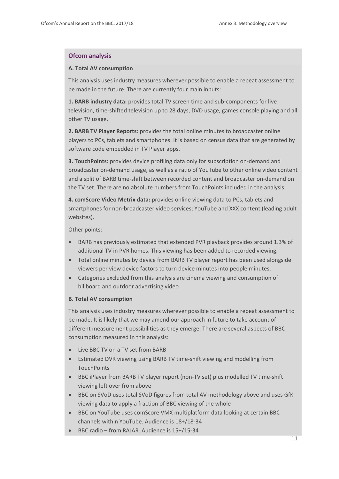#### **Ofcom analysis**

#### **A. Total AV consumption**

This analysis uses industry measures wherever possible to enable a repeat assessment to be made in the future. There are currently four main inputs:

**1. BARB industry data:** provides total TV screen time and sub-components for live television, time-shifted television up to 28 days, DVD usage, games console playing and all other TV usage.

**2. BARB TV Player Reports:** provides the total online minutes to broadcaster online players to PCs, tablets and smartphones. It is based on census data that are generated by software code embedded in TV Player apps.

**3. TouchPoints:** provides device profiling data only for subscription on-demand and broadcaster on-demand usage, as well as a ratio of YouTube to other online video content and a split of BARB time-shift between recorded content and broadcaster on-demand on the TV set. There are no absolute numbers from TouchPoints included in the analysis.

**4. comScore Video Metrix data:** provides online viewing data to PCs, tablets and smartphones for non-broadcaster video services; YouTube and XXX content (leading adult websites).

Other points:

- BARB has previously estimated that extended PVR playback provides around 1.3% of additional TV in PVR homes. This viewing has been added to recorded viewing.
- Total online minutes by device from BARB TV player report has been used alongside viewers per view device factors to turn device minutes into people minutes.
- Categories excluded from this analysis are cinema viewing and consumption of billboard and outdoor advertising video

#### **B. Total AV consumption**

This analysis uses industry measures wherever possible to enable a repeat assessment to be made. It is likely that we may amend our approach in future to take account of different measurement possibilities as they emerge. There are several aspects of BBC consumption measured in this analysis:

- Live BBC TV on a TV set from BARB
- Estimated DVR viewing using BARB TV time-shift viewing and modelling from **TouchPoints**
- BBC iPlayer from BARB TV player report (non-TV set) plus modelled TV time-shift viewing left over from above
- BBC on SVoD uses total SVoD figures from total AV methodology above and uses GfK viewing data to apply a fraction of BBC viewing of the whole
- BBC on YouTube uses comScore VMX multiplatform data looking at certain BBC channels within YouTube. Audience is 18+/18-34
- BBC radio from RAJAR. Audience is 15+/15-34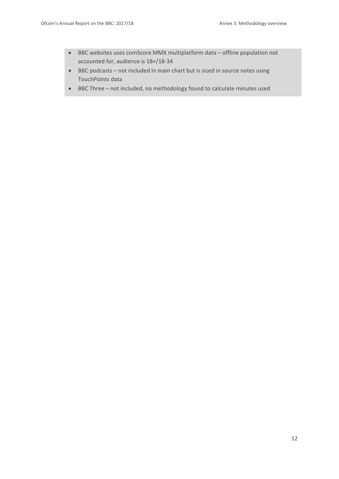- BBC websites uses comScore MMX multiplatform data offline population not accounted for, audience is 18+/18-34
- BBC podcasts not included in main chart but is sized in source notes using TouchPoints data
- BBC Three not included, no methodology found to calculate minutes used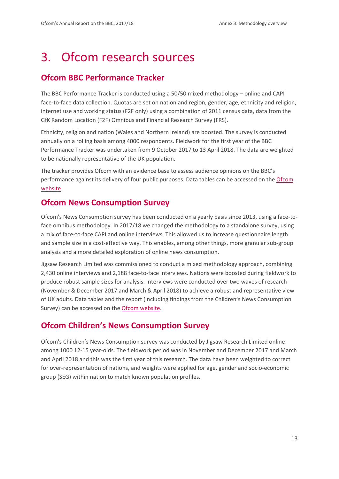# <span id="page-14-0"></span>3. Ofcom research sources

# **Ofcom BBC Performance Tracker**

The BBC Performance Tracker is conducted using a 50/50 mixed methodology – online and CAPI face-to-face data collection. Quotas are set on nation and region, gender, age, ethnicity and religion, internet use and working status (F2F only) using a combination of 2011 census data, data from the GfK Random Location (F2F) Omnibus and Financial Research Survey (FRS).

Ethnicity, religion and nation (Wales and Northern Ireland) are boosted. The survey is conducted annually on a rolling basis among 4000 respondents. Fieldwork for the first year of the BBC Performance Tracker was undertaken from 9 October 2017 to 13 April 2018. The data are weighted to be nationally representative of the UK population.

The tracker provides Ofcom with an evidence base to assess audience opinions on the BBC's performance against its delivery of four public purposes. Data tables can be accessed on th[e Ofcom](https://www.ofcom.org.uk/research-and-data/tv-radio-and-on-demand/tv-research/bbc-performance-tracker)  [website.](https://www.ofcom.org.uk/research-and-data/tv-radio-and-on-demand/tv-research/bbc-performance-tracker)

## **Ofcom News Consumption Survey**

Ofcom's News Consumption survey has been conducted on a yearly basis since 2013, using a face-toface omnibus methodology. In 2017/18 we changed the methodology to a standalone survey, using a mix of face-to-face CAPI and online interviews. This allowed us to increase questionnaire length and sample size in a cost-effective way. This enables, among other things, more granular sub-group analysis and a more detailed exploration of online news consumption.

Jigsaw Research Limited was commissioned to conduct a mixed methodology approach, combining 2,430 online interviews and 2,188 face-to-face interviews. Nations were boosted during fieldwork to produce robust sample sizes for analysis. Interviews were conducted over two waves of research (November & December 2017 and March & April 2018) to achieve a robust and representative view of UK adults. Data tables and the report (including findings from the Children's News Consumption Survey) can be accessed on th[e Ofcom website.](https://www.ofcom.org.uk/research-and-data/tv-radio-and-on-demand/news-media/news-consumption)

# **Ofcom Children's News Consumption Survey**

Ofcom's Children's News Consumption survey was conducted by Jigsaw Research Limited online among 1000 12-15 year-olds. The fieldwork period was in November and December 2017 and March and April 2018 and this was the first year of this research. The data have been weighted to correct for over-representation of nations, and weights were applied for age, gender and socio-economic group (SEG) within nation to match known population profiles.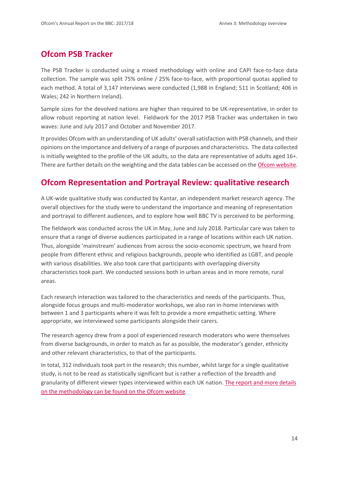## **Ofcom PSB Tracker**

The PSB Tracker is conducted using a mixed methodology with online and CAPI face-to-face data collection. The sample was split 75% online / 25% face-to-face, with proportional quotas applied to each method. A total of 3,147 interviews were conducted (1,988 in England; 511 in Scotland; 406 in Wales; 242 in Northern Ireland).

Sample sizes for the devolved nations are higher than required to be UK-representative, in order to allow robust reporting at nation level. Fieldwork for the 2017 PSB Tracker was undertaken in two waves: June and July 2017 and October and November 2017.

It provides Ofcom with an understanding of UK adults' overall satisfaction with PSB channels, and their opinions on the importance and delivery of a range of purposes and characteristics. The data collected is initially weighted to the profile of the UK adults, so the data are representative of adults aged 16+. There are further details on the weighting and the data tables can be accessed on the [Ofcom website.](https://www.ofcom.org.uk/research-and-data/data/statistics/stats18)

## **Ofcom Representation and Portrayal Review: qualitative research**

A UK-wide qualitative study was conducted by Kantar, an independent market research agency. The overall objectives for the study were to understand the importance and meaning of representation and portrayal to different audiences, and to explore how well BBC TV is perceived to be performing.

The fieldwork was conducted across the UK in May, June and July 2018. Particular care was taken to ensure that a range of diverse audiences participated in a range of locations within each UK nation. Thus, alongside 'mainstream' audiences from across the socio-economic spectrum, we heard from people from different ethnic and religious backgrounds, people who identified as LGBT, and people with various disabilities. We also took care that participants with overlapping diversity characteristics took part. We conducted sessions both in urban areas and in more remote, rural areas.

Each research interaction was tailored to the characteristics and needs of the participants. Thus, alongside focus groups and multi-moderator workshops, we also ran in-home interviews with between 1 and 3 participants where it was felt to provide a more empathetic setting. Where appropriate, we interviewed some participants alongside their carers.

The research agency drew from a pool of experienced research moderators who were themselves from diverse backgrounds, in order to match as far as possible, the moderator's gender, ethnicity and other relevant characteristics, to that of the participants.

In total, 312 individuals took part in the research; this number, whilst large for a single qualitative study, is not to be read as statistically significant but is rather a reflection of the breadth and granularity of different viewer types interviewed within each UK nation. [The report and more details](https://www.ofcom.org.uk/tv-radio-and-on-demand/information-for-industry/bbc-operating-framework/representation-portrayal-bbc-tv)  [on the methodology can be found on the Ofcom website.](https://www.ofcom.org.uk/tv-radio-and-on-demand/information-for-industry/bbc-operating-framework/representation-portrayal-bbc-tv)